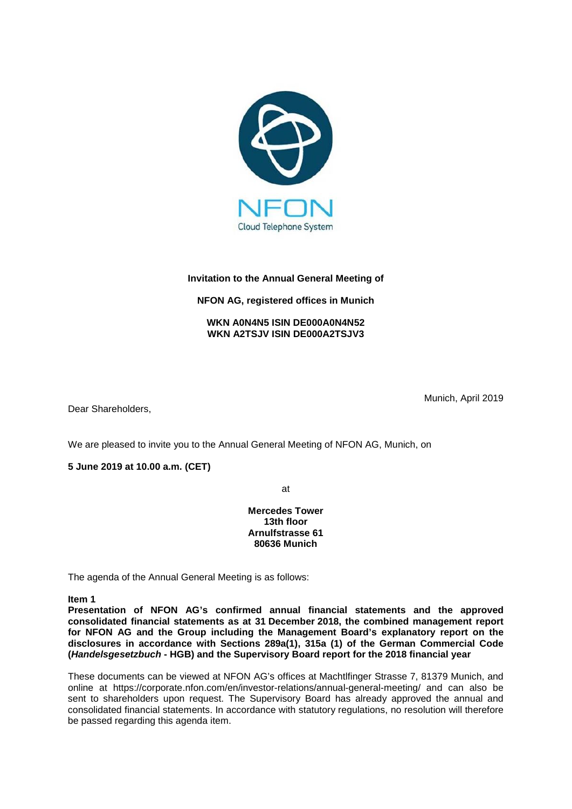

# **Invitation to the Annual General Meeting of**

## **NFON AG, registered offices in Munich**

## **WKN A0N4N5 ISIN DE000A0N4N52 WKN A2TSJV ISIN DE000A2TSJV3**

Dear Shareholders,

Munich, April 2019

We are pleased to invite you to the Annual General Meeting of NFON AG, Munich, on

**5 June 2019 at 10.00 a.m. (CET)**

at

**Mercedes Tower 13th floor Arnulfstrasse 61 80636 Munich**

The agenda of the Annual General Meeting is as follows:

**Item 1**

**Presentation of NFON AG's confirmed annual financial statements and the approved consolidated financial statements as at 31 December 2018, the combined management report for NFON AG and the Group including the Management Board's explanatory report on the disclosures in accordance with Sections 289a(1), 315a (1) of the German Commercial Code (***Handelsgesetzbuch* **- HGB) and the Supervisory Board report for the 2018 financial year**

These documents can be viewed at NFON AG's offices at Machtlfinger Strasse 7, 81379 Munich, and online at https://corporate.nfon.com/en/investor-relations/annual-general-meeting/ and can also be sent to shareholders upon request. The Supervisory Board has already approved the annual and consolidated financial statements. In accordance with statutory regulations, no resolution will therefore be passed regarding this agenda item.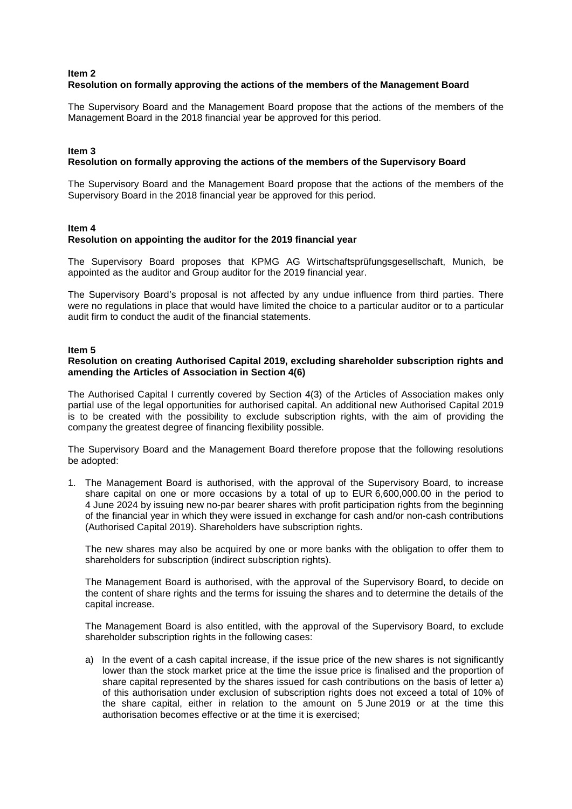### **Item 2 Resolution on formally approving the actions of the members of the Management Board**

The Supervisory Board and the Management Board propose that the actions of the members of the Management Board in the 2018 financial year be approved for this period.

### **Item 3**

## **Resolution on formally approving the actions of the members of the Supervisory Board**

The Supervisory Board and the Management Board propose that the actions of the members of the Supervisory Board in the 2018 financial year be approved for this period.

#### **Item 4**

### **Resolution on appointing the auditor for the 2019 financial year**

The Supervisory Board proposes that KPMG AG Wirtschaftsprüfungsgesellschaft, Munich, be appointed as the auditor and Group auditor for the 2019 financial year.

The Supervisory Board's proposal is not affected by any undue influence from third parties. There were no regulations in place that would have limited the choice to a particular auditor or to a particular audit firm to conduct the audit of the financial statements.

#### **Item 5**

#### **Resolution on creating Authorised Capital 2019, excluding shareholder subscription rights and amending the Articles of Association in Section 4(6)**

The Authorised Capital I currently covered by Section 4(3) of the Articles of Association makes only partial use of the legal opportunities for authorised capital. An additional new Authorised Capital 2019 is to be created with the possibility to exclude subscription rights, with the aim of providing the company the greatest degree of financing flexibility possible.

The Supervisory Board and the Management Board therefore propose that the following resolutions be adopted:

1. The Management Board is authorised, with the approval of the Supervisory Board, to increase share capital on one or more occasions by a total of up to EUR 6,600,000.00 in the period to 4 June 2024 by issuing new no-par bearer shares with profit participation rights from the beginning of the financial year in which they were issued in exchange for cash and/or non-cash contributions (Authorised Capital 2019). Shareholders have subscription rights.

The new shares may also be acquired by one or more banks with the obligation to offer them to shareholders for subscription (indirect subscription rights).

The Management Board is authorised, with the approval of the Supervisory Board, to decide on the content of share rights and the terms for issuing the shares and to determine the details of the capital increase.

The Management Board is also entitled, with the approval of the Supervisory Board, to exclude shareholder subscription rights in the following cases:

a) In the event of a cash capital increase, if the issue price of the new shares is not significantly lower than the stock market price at the time the issue price is finalised and the proportion of share capital represented by the shares issued for cash contributions on the basis of letter a) of this authorisation under exclusion of subscription rights does not exceed a total of 10% of the share capital, either in relation to the amount on 5 June 2019 or at the time this authorisation becomes effective or at the time it is exercised;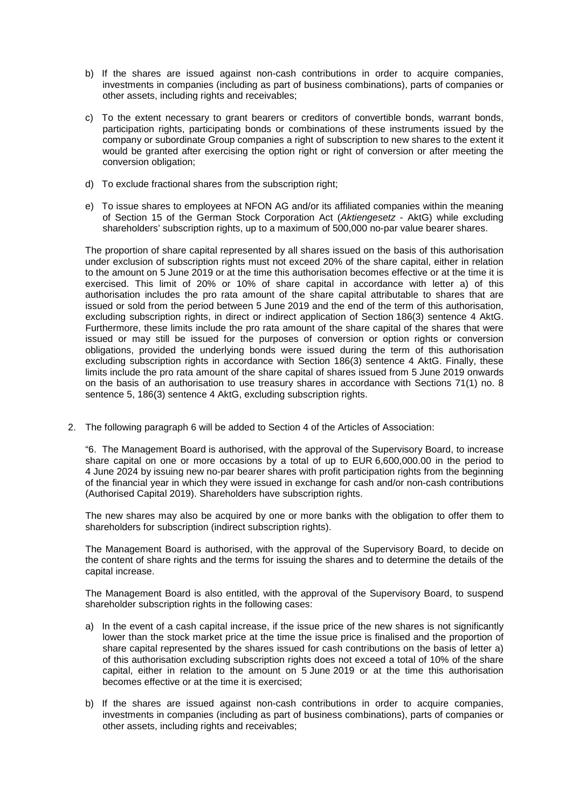- b) If the shares are issued against non-cash contributions in order to acquire companies, investments in companies (including as part of business combinations), parts of companies or other assets, including rights and receivables;
- c) To the extent necessary to grant bearers or creditors of convertible bonds, warrant bonds, participation rights, participating bonds or combinations of these instruments issued by the company or subordinate Group companies a right of subscription to new shares to the extent it would be granted after exercising the option right or right of conversion or after meeting the conversion obligation;
- d) To exclude fractional shares from the subscription right;
- e) To issue shares to employees at NFON AG and/or its affiliated companies within the meaning of Section 15 of the German Stock Corporation Act (*Aktiengesetz* - AktG) while excluding shareholders' subscription rights, up to a maximum of 500,000 no-par value bearer shares.

The proportion of share capital represented by all shares issued on the basis of this authorisation under exclusion of subscription rights must not exceed 20% of the share capital, either in relation to the amount on 5 June 2019 or at the time this authorisation becomes effective or at the time it is exercised. This limit of 20% or 10% of share capital in accordance with letter a) of this authorisation includes the pro rata amount of the share capital attributable to shares that are issued or sold from the period between 5 June 2019 and the end of the term of this authorisation, excluding subscription rights, in direct or indirect application of Section 186(3) sentence 4 AktG. Furthermore, these limits include the pro rata amount of the share capital of the shares that were issued or may still be issued for the purposes of conversion or option rights or conversion obligations, provided the underlying bonds were issued during the term of this authorisation excluding subscription rights in accordance with Section 186(3) sentence 4 AktG. Finally, these limits include the pro rata amount of the share capital of shares issued from 5 June 2019 onwards on the basis of an authorisation to use treasury shares in accordance with Sections 71(1) no. 8 sentence 5, 186(3) sentence 4 AktG, excluding subscription rights.

2. The following paragraph 6 will be added to Section 4 of the Articles of Association:

"6. The Management Board is authorised, with the approval of the Supervisory Board, to increase share capital on one or more occasions by a total of up to EUR 6,600,000.00 in the period to 4 June 2024 by issuing new no-par bearer shares with profit participation rights from the beginning of the financial year in which they were issued in exchange for cash and/or non-cash contributions (Authorised Capital 2019). Shareholders have subscription rights.

The new shares may also be acquired by one or more banks with the obligation to offer them to shareholders for subscription (indirect subscription rights).

The Management Board is authorised, with the approval of the Supervisory Board, to decide on the content of share rights and the terms for issuing the shares and to determine the details of the capital increase.

The Management Board is also entitled, with the approval of the Supervisory Board, to suspend shareholder subscription rights in the following cases:

- a) In the event of a cash capital increase, if the issue price of the new shares is not significantly lower than the stock market price at the time the issue price is finalised and the proportion of share capital represented by the shares issued for cash contributions on the basis of letter a) of this authorisation excluding subscription rights does not exceed a total of 10% of the share capital, either in relation to the amount on 5 June 2019 or at the time this authorisation becomes effective or at the time it is exercised;
- b) If the shares are issued against non-cash contributions in order to acquire companies, investments in companies (including as part of business combinations), parts of companies or other assets, including rights and receivables;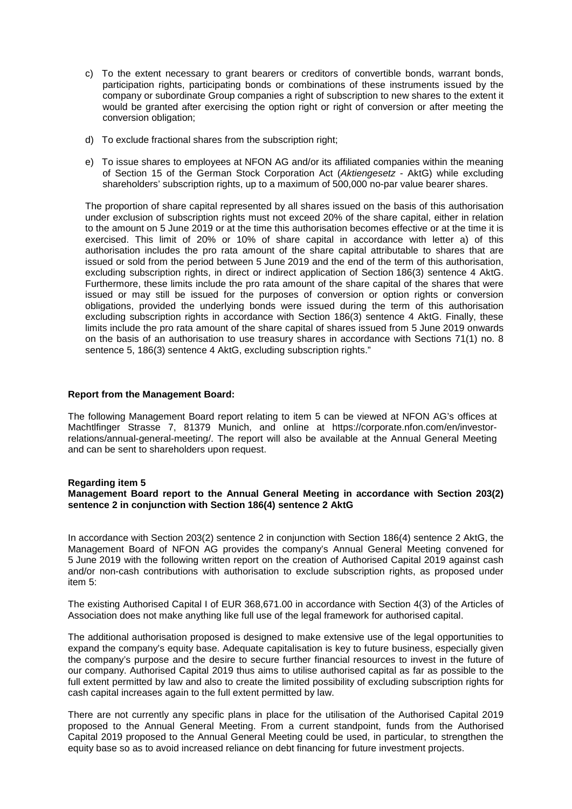- c) To the extent necessary to grant bearers or creditors of convertible bonds, warrant bonds, participation rights, participating bonds or combinations of these instruments issued by the company or subordinate Group companies a right of subscription to new shares to the extent it would be granted after exercising the option right or right of conversion or after meeting the conversion obligation;
- d) To exclude fractional shares from the subscription right;
- e) To issue shares to employees at NFON AG and/or its affiliated companies within the meaning of Section 15 of the German Stock Corporation Act (*Aktiengesetz* - AktG) while excluding shareholders' subscription rights, up to a maximum of 500,000 no-par value bearer shares.

The proportion of share capital represented by all shares issued on the basis of this authorisation under exclusion of subscription rights must not exceed 20% of the share capital, either in relation to the amount on 5 June 2019 or at the time this authorisation becomes effective or at the time it is exercised. This limit of 20% or 10% of share capital in accordance with letter a) of this authorisation includes the pro rata amount of the share capital attributable to shares that are issued or sold from the period between 5 June 2019 and the end of the term of this authorisation, excluding subscription rights, in direct or indirect application of Section 186(3) sentence 4 AktG. Furthermore, these limits include the pro rata amount of the share capital of the shares that were issued or may still be issued for the purposes of conversion or option rights or conversion obligations, provided the underlying bonds were issued during the term of this authorisation excluding subscription rights in accordance with Section 186(3) sentence 4 AktG. Finally, these limits include the pro rata amount of the share capital of shares issued from 5 June 2019 onwards on the basis of an authorisation to use treasury shares in accordance with Sections 71(1) no. 8 sentence 5, 186(3) sentence 4 AktG, excluding subscription rights."

### **Report from the Management Board:**

The following Management Board report relating to item 5 can be viewed at NFON AG's offices at Machtlfinger Strasse 7, 81379 Munich, and online at https://corporate.nfon.com/en/investorrelations/annual-general-meeting/. The report will also be available at the Annual General Meeting and can be sent to shareholders upon request.

#### **Regarding item 5**

### **Management Board report to the Annual General Meeting in accordance with Section 203(2) sentence 2 in conjunction with Section 186(4) sentence 2 AktG**

In accordance with Section 203(2) sentence 2 in conjunction with Section 186(4) sentence 2 AktG, the Management Board of NFON AG provides the company's Annual General Meeting convened for 5 June 2019 with the following written report on the creation of Authorised Capital 2019 against cash and/or non-cash contributions with authorisation to exclude subscription rights, as proposed under item 5:

The existing Authorised Capital I of EUR 368,671.00 in accordance with Section 4(3) of the Articles of Association does not make anything like full use of the legal framework for authorised capital.

The additional authorisation proposed is designed to make extensive use of the legal opportunities to expand the company's equity base. Adequate capitalisation is key to future business, especially given the company's purpose and the desire to secure further financial resources to invest in the future of our company. Authorised Capital 2019 thus aims to utilise authorised capital as far as possible to the full extent permitted by law and also to create the limited possibility of excluding subscription rights for cash capital increases again to the full extent permitted by law.

There are not currently any specific plans in place for the utilisation of the Authorised Capital 2019 proposed to the Annual General Meeting. From a current standpoint, funds from the Authorised Capital 2019 proposed to the Annual General Meeting could be used, in particular, to strengthen the equity base so as to avoid increased reliance on debt financing for future investment projects.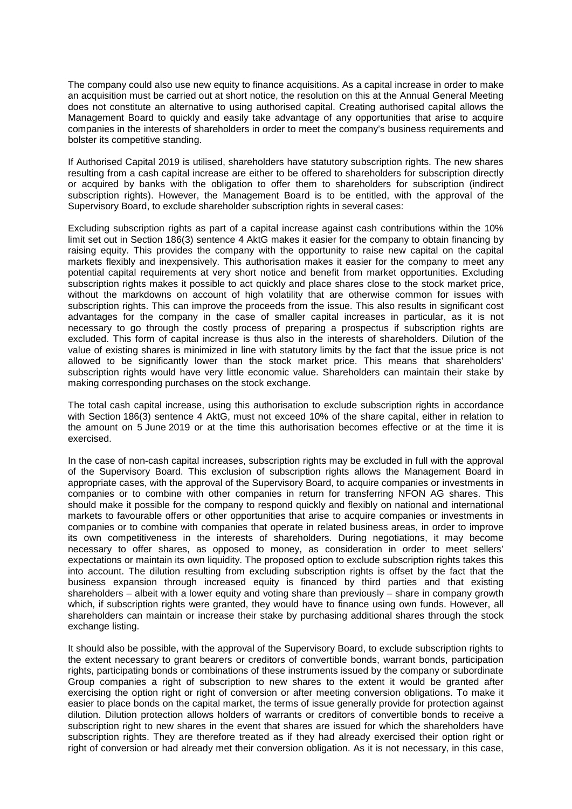The company could also use new equity to finance acquisitions. As a capital increase in order to make an acquisition must be carried out at short notice, the resolution on this at the Annual General Meeting does not constitute an alternative to using authorised capital. Creating authorised capital allows the Management Board to quickly and easily take advantage of any opportunities that arise to acquire companies in the interests of shareholders in order to meet the company's business requirements and bolster its competitive standing.

If Authorised Capital 2019 is utilised, shareholders have statutory subscription rights. The new shares resulting from a cash capital increase are either to be offered to shareholders for subscription directly or acquired by banks with the obligation to offer them to shareholders for subscription (indirect subscription rights). However, the Management Board is to be entitled, with the approval of the Supervisory Board, to exclude shareholder subscription rights in several cases:

Excluding subscription rights as part of a capital increase against cash contributions within the 10% limit set out in Section 186(3) sentence 4 AktG makes it easier for the company to obtain financing by raising equity. This provides the company with the opportunity to raise new capital on the capital markets flexibly and inexpensively. This authorisation makes it easier for the company to meet any potential capital requirements at very short notice and benefit from market opportunities. Excluding subscription rights makes it possible to act quickly and place shares close to the stock market price, without the markdowns on account of high volatility that are otherwise common for issues with subscription rights. This can improve the proceeds from the issue. This also results in significant cost advantages for the company in the case of smaller capital increases in particular, as it is not necessary to go through the costly process of preparing a prospectus if subscription rights are excluded. This form of capital increase is thus also in the interests of shareholders. Dilution of the value of existing shares is minimized in line with statutory limits by the fact that the issue price is not allowed to be significantly lower than the stock market price. This means that shareholders' subscription rights would have very little economic value. Shareholders can maintain their stake by making corresponding purchases on the stock exchange.

The total cash capital increase, using this authorisation to exclude subscription rights in accordance with Section 186(3) sentence 4 AktG, must not exceed 10% of the share capital, either in relation to the amount on 5 June 2019 or at the time this authorisation becomes effective or at the time it is exercised.

In the case of non-cash capital increases, subscription rights may be excluded in full with the approval of the Supervisory Board. This exclusion of subscription rights allows the Management Board in appropriate cases, with the approval of the Supervisory Board, to acquire companies or investments in companies or to combine with other companies in return for transferring NFON AG shares. This should make it possible for the company to respond quickly and flexibly on national and international markets to favourable offers or other opportunities that arise to acquire companies or investments in companies or to combine with companies that operate in related business areas, in order to improve its own competitiveness in the interests of shareholders. During negotiations, it may become necessary to offer shares, as opposed to money, as consideration in order to meet sellers' expectations or maintain its own liquidity. The proposed option to exclude subscription rights takes this into account. The dilution resulting from excluding subscription rights is offset by the fact that the business expansion through increased equity is financed by third parties and that existing shareholders – albeit with a lower equity and voting share than previously – share in company growth which, if subscription rights were granted, they would have to finance using own funds. However, all shareholders can maintain or increase their stake by purchasing additional shares through the stock exchange listing.

It should also be possible, with the approval of the Supervisory Board, to exclude subscription rights to the extent necessary to grant bearers or creditors of convertible bonds, warrant bonds, participation rights, participating bonds or combinations of these instruments issued by the company or subordinate Group companies a right of subscription to new shares to the extent it would be granted after exercising the option right or right of conversion or after meeting conversion obligations. To make it easier to place bonds on the capital market, the terms of issue generally provide for protection against dilution. Dilution protection allows holders of warrants or creditors of convertible bonds to receive a subscription right to new shares in the event that shares are issued for which the shareholders have subscription rights. They are therefore treated as if they had already exercised their option right or right of conversion or had already met their conversion obligation. As it is not necessary, in this case,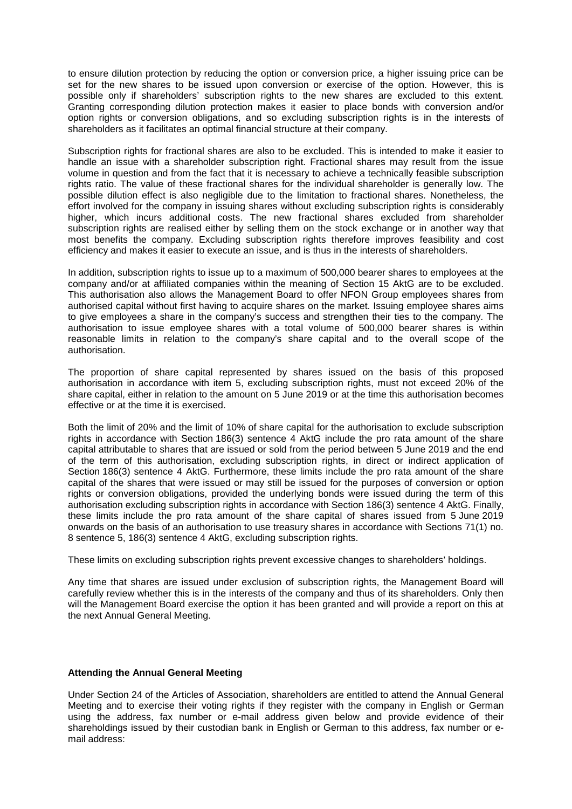to ensure dilution protection by reducing the option or conversion price, a higher issuing price can be set for the new shares to be issued upon conversion or exercise of the option. However, this is possible only if shareholders' subscription rights to the new shares are excluded to this extent. Granting corresponding dilution protection makes it easier to place bonds with conversion and/or option rights or conversion obligations, and so excluding subscription rights is in the interests of shareholders as it facilitates an optimal financial structure at their company.

Subscription rights for fractional shares are also to be excluded. This is intended to make it easier to handle an issue with a shareholder subscription right. Fractional shares may result from the issue volume in question and from the fact that it is necessary to achieve a technically feasible subscription rights ratio. The value of these fractional shares for the individual shareholder is generally low. The possible dilution effect is also negligible due to the limitation to fractional shares. Nonetheless, the effort involved for the company in issuing shares without excluding subscription rights is considerably higher, which incurs additional costs. The new fractional shares excluded from shareholder subscription rights are realised either by selling them on the stock exchange or in another way that most benefits the company. Excluding subscription rights therefore improves feasibility and cost efficiency and makes it easier to execute an issue, and is thus in the interests of shareholders.

In addition, subscription rights to issue up to a maximum of 500,000 bearer shares to employees at the company and/or at affiliated companies within the meaning of Section 15 AktG are to be excluded. This authorisation also allows the Management Board to offer NFON Group employees shares from authorised capital without first having to acquire shares on the market. Issuing employee shares aims to give employees a share in the company's success and strengthen their ties to the company. The authorisation to issue employee shares with a total volume of 500,000 bearer shares is within reasonable limits in relation to the company's share capital and to the overall scope of the authorisation.

The proportion of share capital represented by shares issued on the basis of this proposed authorisation in accordance with item 5, excluding subscription rights, must not exceed 20% of the share capital, either in relation to the amount on 5 June 2019 or at the time this authorisation becomes effective or at the time it is exercised.

Both the limit of 20% and the limit of 10% of share capital for the authorisation to exclude subscription rights in accordance with Section 186(3) sentence 4 AktG include the pro rata amount of the share capital attributable to shares that are issued or sold from the period between 5 June 2019 and the end of the term of this authorisation, excluding subscription rights, in direct or indirect application of Section 186(3) sentence 4 AktG. Furthermore, these limits include the pro rata amount of the share capital of the shares that were issued or may still be issued for the purposes of conversion or option rights or conversion obligations, provided the underlying bonds were issued during the term of this authorisation excluding subscription rights in accordance with Section 186(3) sentence 4 AktG. Finally, these limits include the pro rata amount of the share capital of shares issued from 5 June 2019 onwards on the basis of an authorisation to use treasury shares in accordance with Sections 71(1) no. 8 sentence 5, 186(3) sentence 4 AktG, excluding subscription rights.

These limits on excluding subscription rights prevent excessive changes to shareholders' holdings.

Any time that shares are issued under exclusion of subscription rights, the Management Board will carefully review whether this is in the interests of the company and thus of its shareholders. Only then will the Management Board exercise the option it has been granted and will provide a report on this at the next Annual General Meeting.

### **Attending the Annual General Meeting**

Under Section 24 of the Articles of Association, shareholders are entitled to attend the Annual General Meeting and to exercise their voting rights if they register with the company in English or German using the address, fax number or e-mail address given below and provide evidence of their shareholdings issued by their custodian bank in English or German to this address, fax number or email address: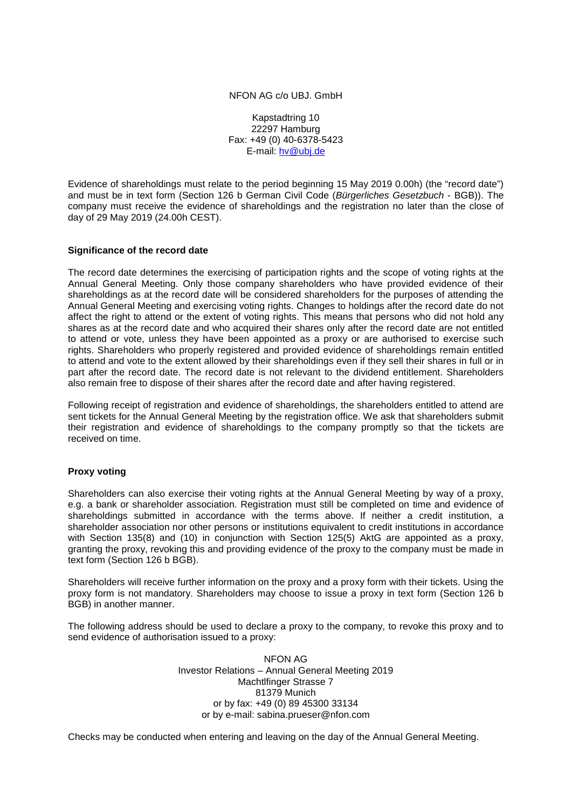#### NFON AG c/o UBJ. GmbH

Kapstadtring 10 22297 Hamburg Fax: +49 (0) 40-6378-5423 E-mail: [hv@ubj.de](mailto:hv@ubj.de)

Evidence of shareholdings must relate to the period beginning 15 May 2019 0.00h) (the "record date") and must be in text form (Section 126 b German Civil Code (*Bürgerliches Gesetzbuch* - BGB)). The company must receive the evidence of shareholdings and the registration no later than the close of day of 29 May 2019 (24.00h CEST).

### **Significance of the record date**

The record date determines the exercising of participation rights and the scope of voting rights at the Annual General Meeting. Only those company shareholders who have provided evidence of their shareholdings as at the record date will be considered shareholders for the purposes of attending the Annual General Meeting and exercising voting rights. Changes to holdings after the record date do not affect the right to attend or the extent of voting rights. This means that persons who did not hold any shares as at the record date and who acquired their shares only after the record date are not entitled to attend or vote, unless they have been appointed as a proxy or are authorised to exercise such rights. Shareholders who properly registered and provided evidence of shareholdings remain entitled to attend and vote to the extent allowed by their shareholdings even if they sell their shares in full or in part after the record date. The record date is not relevant to the dividend entitlement. Shareholders also remain free to dispose of their shares after the record date and after having registered.

Following receipt of registration and evidence of shareholdings, the shareholders entitled to attend are sent tickets for the Annual General Meeting by the registration office. We ask that shareholders submit their registration and evidence of shareholdings to the company promptly so that the tickets are received on time.

### **Proxy voting**

Shareholders can also exercise their voting rights at the Annual General Meeting by way of a proxy, e.g. a bank or shareholder association. Registration must still be completed on time and evidence of shareholdings submitted in accordance with the terms above. If neither a credit institution, a shareholder association nor other persons or institutions equivalent to credit institutions in accordance with Section 135(8) and (10) in conjunction with Section 125(5) AktG are appointed as a proxy, granting the proxy, revoking this and providing evidence of the proxy to the company must be made in text form (Section 126 b BGB).

Shareholders will receive further information on the proxy and a proxy form with their tickets. Using the proxy form is not mandatory. Shareholders may choose to issue a proxy in text form (Section 126 b BGB) in another manner.

The following address should be used to declare a proxy to the company, to revoke this proxy and to send evidence of authorisation issued to a proxy:

> NFON AG Investor Relations – Annual General Meeting 2019 Machtlfinger Strasse 7 81379 Munich or by fax: +49 (0) 89 45300 33134 or by e-mail: sabina.prueser@nfon.com

Checks may be conducted when entering and leaving on the day of the Annual General Meeting.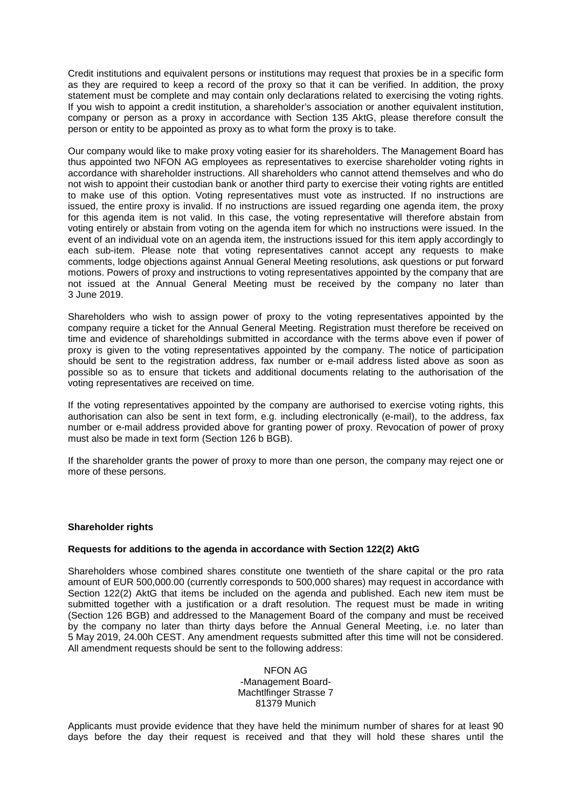Credit institutions and equivalent persons or institutions may request that proxies be in a specific form as they are required to keep a record of the proxy so that it can be verified. In addition, the proxy statement must be complete and may contain only declarations related to exercising the voting rights. If you wish to appoint a credit institution, a shareholder's association or another equivalent institution, company or person as a proxy in accordance with Section 135 AktG, please therefore consult the person or entity to be appointed as proxy as to what form the proxy is to take.

Our company would like to make proxy voting easier for its shareholders. The Management Board has thus appointed two NFON AG employees as representatives to exercise shareholder voting rights in accordance with shareholder instructions. All shareholders who cannot attend themselves and who do not wish to appoint their custodian bank or another third party to exercise their voting rights are entitled to make use of this option. Voting representatives must vote as instructed. If no instructions are issued, the entire proxy is invalid. If no instructions are issued regarding one agenda item, the proxy for this agenda item is not valid. In this case, the voting representative will therefore abstain from voting entirely or abstain from voting on the agenda item for which no instructions were issued. In the event of an individual vote on an agenda item, the instructions issued for this item apply accordingly to each sub-item. Please note that voting representatives cannot accept any requests to make comments, lodge objections against Annual General Meeting resolutions, ask questions or put forward motions. Powers of proxy and instructions to voting representatives appointed by the company that are not issued at the Annual General Meeting must be received by the company no later than 3 June 2019.

Shareholders who wish to assign power of proxy to the voting representatives appointed by the company require a ticket for the Annual General Meeting. Registration must therefore be received on time and evidence of shareholdings submitted in accordance with the terms above even if power of proxy is given to the voting representatives appointed by the company. The notice of participation should be sent to the registration address, fax number or e-mail address listed above as soon as possible so as to ensure that tickets and additional documents relating to the authorisation of the voting representatives are received on time.

If the voting representatives appointed by the company are authorised to exercise voting rights, this authorisation can also be sent in text form, e.g. including electronically (e-mail), to the address, fax number or e-mail address provided above for granting power of proxy. Revocation of power of proxy must also be made in text form (Section 126 b BGB).

If the shareholder grants the power of proxy to more than one person, the company may reject one or more of these persons.

### **Shareholder rights**

### **Requests for additions to the agenda in accordance with Section 122(2) AktG**

Shareholders whose combined shares constitute one twentieth of the share capital or the pro rata amount of EUR 500,000.00 (currently corresponds to 500,000 shares) may request in accordance with Section 122(2) AktG that items be included on the agenda and published. Each new item must be submitted together with a justification or a draft resolution. The request must be made in writing (Section 126 BGB) and addressed to the Management Board of the company and must be received by the company no later than thirty days before the Annual General Meeting, i.e. no later than 5 May 2019, 24.00h CEST. Any amendment requests submitted after this time will not be considered. All amendment requests should be sent to the following address:

> NFON AG -Management Board-Machtlfinger Strasse 7 81379 Munich

Applicants must provide evidence that they have held the minimum number of shares for at least 90 days before the day their request is received and that they will hold these shares until the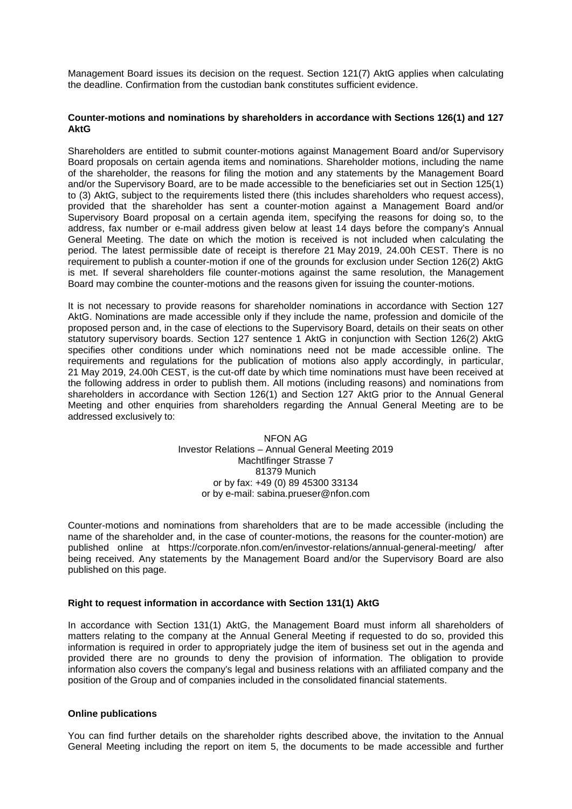Management Board issues its decision on the request. Section 121(7) AktG applies when calculating the deadline. Confirmation from the custodian bank constitutes sufficient evidence.

### **Counter-motions and nominations by shareholders in accordance with Sections 126(1) and 127 AktG**

Shareholders are entitled to submit counter-motions against Management Board and/or Supervisory Board proposals on certain agenda items and nominations. Shareholder motions, including the name of the shareholder, the reasons for filing the motion and any statements by the Management Board and/or the Supervisory Board, are to be made accessible to the beneficiaries set out in Section 125(1) to (3) AktG, subject to the requirements listed there (this includes shareholders who request access), provided that the shareholder has sent a counter-motion against a Management Board and/or Supervisory Board proposal on a certain agenda item, specifying the reasons for doing so, to the address, fax number or e-mail address given below at least 14 days before the company's Annual General Meeting. The date on which the motion is received is not included when calculating the period. The latest permissible date of receipt is therefore 21 May 2019, 24.00h CEST. There is no requirement to publish a counter-motion if one of the grounds for exclusion under Section 126(2) AktG is met. If several shareholders file counter-motions against the same resolution, the Management Board may combine the counter-motions and the reasons given for issuing the counter-motions.

It is not necessary to provide reasons for shareholder nominations in accordance with Section 127 AktG. Nominations are made accessible only if they include the name, profession and domicile of the proposed person and, in the case of elections to the Supervisory Board, details on their seats on other statutory supervisory boards. Section 127 sentence 1 AktG in conjunction with Section 126(2) AktG specifies other conditions under which nominations need not be made accessible online. The requirements and regulations for the publication of motions also apply accordingly, in particular, 21 May 2019, 24.00h CEST, is the cut-off date by which time nominations must have been received at the following address in order to publish them. All motions (including reasons) and nominations from shareholders in accordance with Section 126(1) and Section 127 AktG prior to the Annual General Meeting and other enquiries from shareholders regarding the Annual General Meeting are to be addressed exclusively to:

> NFON AG Investor Relations – Annual General Meeting 2019 Machtlfinger Strasse 7 81379 Munich or by fax: +49 (0) 89 45300 33134 [or by e-mail: sabina.p](mailto:hv-2012@gigaset.com)rueser@nfon.co[m](mailto:hv-2012@gigaset.com)

Counter-motions and nominations from shareholders that are to be made accessible (including the name of the shareholder and, in the case of counter-motions, the reasons for the counter-motion) are published online at https://corporate.nfon.com/en/investor-relations/annual-general-meeting/ after being received. Any statements by the Management Board and/or the Supervisory Board are also published on this page.

### **Right to request information in accordance with Section 131(1) AktG**

In accordance with Section 131(1) AktG, the Management Board must inform all shareholders of matters relating to the company at the Annual General Meeting if requested to do so, provided this information is required in order to appropriately judge the item of business set out in the agenda and provided there are no grounds to deny the provision of information. The obligation to provide information also covers the company's legal and business relations with an affiliated company and the position of the Group and of companies included in the consolidated financial statements.

### **Online publications**

You can find further details on the shareholder rights described above, the invitation to the Annual General Meeting including the report on item 5, the documents to be made accessible and further